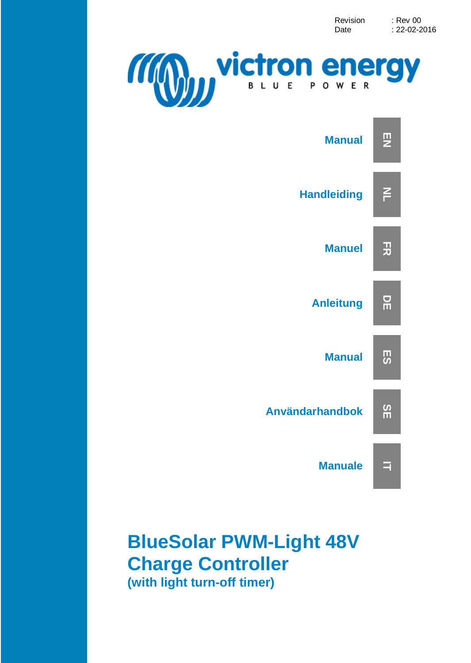Revision : Rev 00<br>Date : 22-02-2  $: 22 - 02 - 2016$ 





## **BlueSolar PWM-Light 48V Charge Controller (with light turn-off timer)**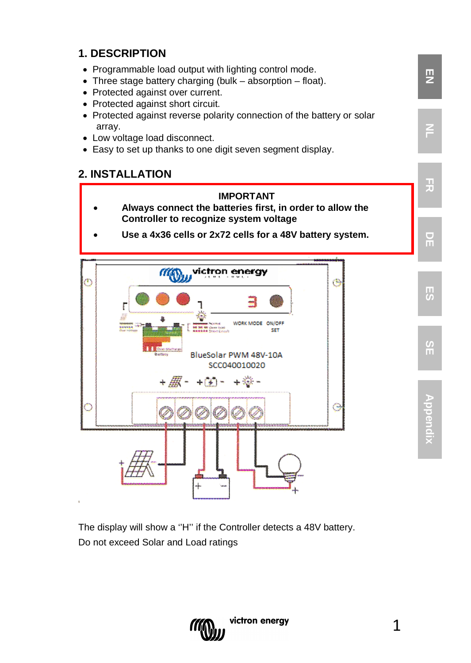#### **1. DESCRIPTION**

- Programmable load output with lighting control mode.
- Three stage battery charging (bulk absorption float).
- Protected against over current.
- Protected against short circuit.
- Protected against reverse polarity connection of the battery or solar array.
- Low voltage load disconnect.
- Easy to set up thanks to one digit seven segment display.

#### **2. INSTALLATION**

- **IMPORTANT** • **Always connect the batteries first, in order to allow the Controller to recognize system voltage**
	- **Use a 4x36 cells or 2x72 cells for a 48V battery system.**



The display will show a ''H'' if the Controller detects a 48V battery. Do not exceed Solar and Load ratings



**EN**

**NL**

**FR**

**DE**

**ES**

**Appendix**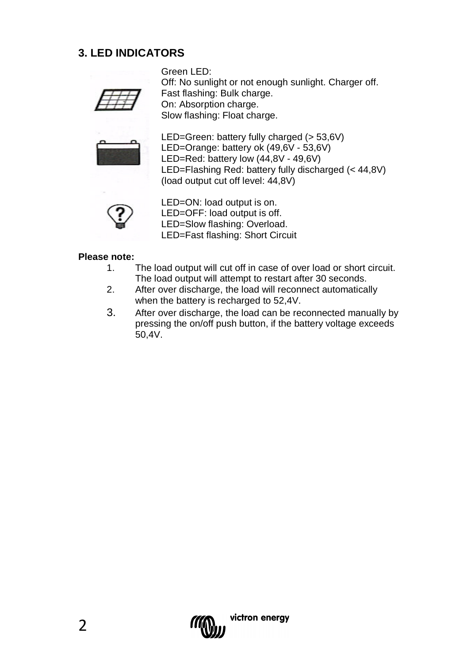#### **3. LED INDICATORS**

Green LED: Off: No sunlight or not enough sunlight. Charger off. Fast flashing: Bulk charge. On: Absorption charge. Slow flashing: Float charge.



LED=Green: battery fully charged (> 53,6V) LED=Orange: battery ok (49,6V - 53,6V) LED=Red: battery low (44,8V - 49,6V) LED=Flashing Red: battery fully discharged (< 44,8V) (load output cut off level: 44,8V)



LED=ON: load output is on. LED=OFF: load output is off. LED=Slow flashing: Overload. LED=Fast flashing: Short Circuit

#### **Please note:**

- 1. The load output will cut off in case of over load or short circuit. The load output will attempt to restart after 30 seconds.
- 2. After over discharge, the load will reconnect automatically when the battery is recharged to 52,4V.
- 3. After over discharge, the load can be reconnected manually by pressing the on/off push button, if the battery voltage exceeds 50,4V.

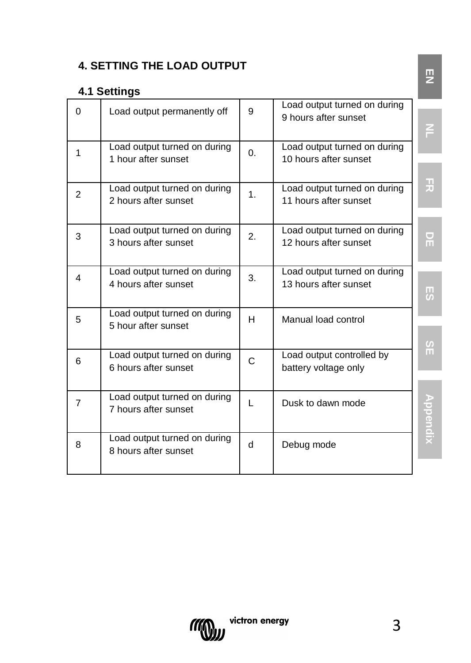### **4. SETTING THE LOAD OUTPUT**

### **4.1 Settings**

| $\Omega$       | Load output permanently off                          | 9            | Load output turned on during<br>9 hours after sunset  | F              |
|----------------|------------------------------------------------------|--------------|-------------------------------------------------------|----------------|
| 1              | Load output turned on during<br>1 hour after sunset  | $\Omega$ .   | Load output turned on during<br>10 hours after sunset |                |
| $\overline{2}$ | Load output turned on during<br>2 hours after sunset | 1.           | Load output turned on during<br>11 hours after sunset | 곶              |
| 3              | Load output turned on during<br>3 hours after sunset | 2.           | Load output turned on during<br>12 hours after sunset | 뮤              |
| 4              | Load output turned on during<br>4 hours after sunset | 3.           | Load output turned on during<br>13 hours after sunset | 5              |
| 5              | Load output turned on during<br>5 hour after sunset  | H            | Manual load control                                   | $\frac{5}{11}$ |
| 6              | Load output turned on during<br>6 hours after sunset | C            | Load output controlled by<br>battery voltage only     |                |
| 7              | Load output turned on during<br>7 hours after sunset | L            | Dusk to dawn mode                                     |                |
| 8              | Load output turned on during<br>8 hours after sunset | $\mathsf{d}$ | Debug mode                                            |                |



**EN**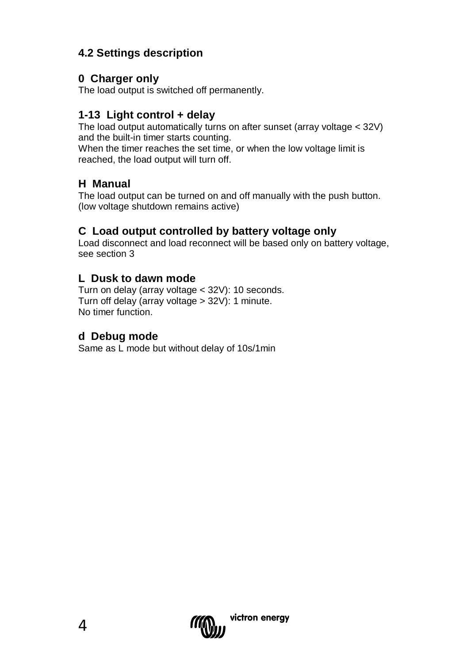### **4.2 Settings description**

#### **0 Charger only**

The load output is switched off permanently.

### **1-13 Light control + delay**

The load output automatically turns on after sunset (array voltage < 32V) and the built-in timer starts counting.

When the timer reaches the set time, or when the low voltage limit is reached, the load output will turn off.

#### **H Manual**

The load output can be turned on and off manually with the push button. (low voltage shutdown remains active)

#### **C Load output controlled by battery voltage only**

Load disconnect and load reconnect will be based only on battery voltage, see section 3

#### **L Dusk to dawn mode**

Turn on delay (array voltage < 32V): 10 seconds. Turn off delay (array voltage > 32V): 1 minute. No timer function.

#### **d Debug mode**

Same as L mode but without delay of 10s/1min

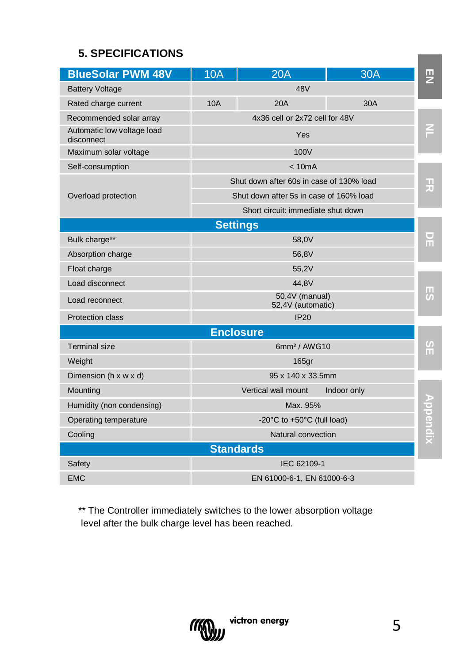### **5. SPECIFICATIONS**

| <b>BlueSolar PWM 48V</b>                 | <b>10A</b>                          | 20A                                      | 30A         | 핓               |  |  |  |  |
|------------------------------------------|-------------------------------------|------------------------------------------|-------------|-----------------|--|--|--|--|
| <b>Battery Voltage</b>                   |                                     | 48V                                      |             |                 |  |  |  |  |
| Rated charge current                     | 10A                                 | 20A                                      | 30A         |                 |  |  |  |  |
| Recommended solar array                  |                                     | 4x36 cell or 2x72 cell for 48V           |             |                 |  |  |  |  |
| Automatic low voltage load<br>disconnect |                                     | Yes                                      |             |                 |  |  |  |  |
| Maximum solar voltage                    |                                     | 100V                                     |             |                 |  |  |  |  |
| Self-consumption                         |                                     | < 10mA                                   |             |                 |  |  |  |  |
|                                          |                                     | Shut down after 60s in case of 130% load |             | 끍               |  |  |  |  |
| Overload protection                      |                                     | Shut down after 5s in case of 160% load  |             |                 |  |  |  |  |
|                                          |                                     | Short circuit: immediate shut down       |             |                 |  |  |  |  |
|                                          |                                     | <b>Settings</b>                          |             |                 |  |  |  |  |
| Bulk charge**                            |                                     | 58.0V                                    |             | ω<br>m          |  |  |  |  |
| Absorption charge                        |                                     | 56,8V                                    |             |                 |  |  |  |  |
| Float charge                             | 55,2V                               |                                          |             |                 |  |  |  |  |
| Load disconnect                          | 44.8V                               |                                          |             |                 |  |  |  |  |
| Load reconnect                           | 50.4V (manual)<br>52,4V (automatic) |                                          |             |                 |  |  |  |  |
| Protection class                         |                                     | IP20                                     |             |                 |  |  |  |  |
|                                          |                                     | <b>Enclosure</b>                         |             |                 |  |  |  |  |
| Terminal size                            |                                     | 6mm <sup>2</sup> / AWG10                 |             | $\frac{8}{11}$  |  |  |  |  |
| Weight                                   |                                     | 165gr                                    |             |                 |  |  |  |  |
| Dimension (h x w x d)                    |                                     | 95 x 140 x 33.5mm                        |             |                 |  |  |  |  |
| Mounting                                 |                                     | Vertical wall mount                      | Indoor only |                 |  |  |  |  |
| Humidity (non condensing)                |                                     | Max. 95%                                 |             | <b>Appendix</b> |  |  |  |  |
| Operating temperature                    | -20°C to +50°C (full load)          |                                          |             |                 |  |  |  |  |
| Cooling                                  | Natural convection                  |                                          |             |                 |  |  |  |  |
|                                          |                                     | <b>Standards</b>                         |             |                 |  |  |  |  |
| Safety                                   |                                     | IEC 62109-1                              |             |                 |  |  |  |  |
| <b>EMC</b>                               |                                     | EN 61000-6-1, EN 61000-6-3               |             |                 |  |  |  |  |

\*\* The Controller immediately switches to the lower absorption voltage level after the bulk charge level has been reached.



**Contract**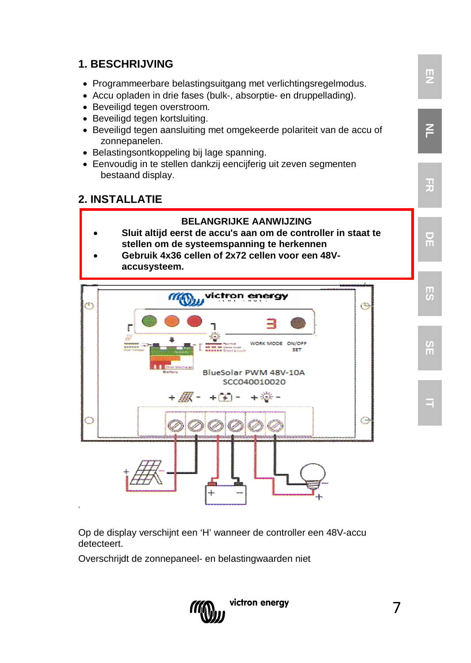### **1. BESCHRIJVING EN** • Programmeerbare belastingsuitgang met verlichtingsregelmodus. • Accu opladen in drie fases (bulk-, absorptie- en druppellading). • Beveiligd tegen overstroom. • Beveiligd tegen kortsluiting. **NL** • Beveiligd tegen aansluiting met omgekeerde polariteit van de accu of zonnepanelen. • Belastingsontkoppeling bij lage spanning. • Eenvoudig in te stellen dankzij eencijferig uit zeven segmenten bestaand display. **FR 2. INSTALLATIE BELANGRIJKE AANWIJZING** • **Sluit altijd eerst de accu's aan om de controller in staat te stellen om de systeemspanning te herkennen** • **Gebruik 4x36 cellen of 2x72 cellen voor een 48Vaccusysteem.ES**  $m_{\rm 0}$ victron energy æ WORK MODE ON/OFF **SE** 555 BlueSolar PWM 48V-10A SCC040010020  $+30.$ **IT**

Op de display verschijnt een 'H' wanneer de controller een 48V-accu detecteert.

Overschrijdt de zonnepaneel- en belastingwaarden niet

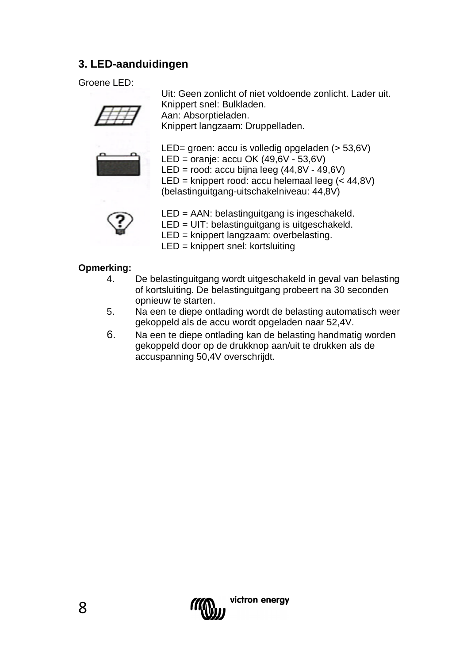#### **3. LED-aanduidingen**

Groene LED:

Uit: Geen zonlicht of niet voldoende zonlicht. Lader uit. Knippert snel: Bulkladen. Aan: Absorptieladen.

Knippert langzaam: Druppelladen.



LED= groen: accu is volledig opgeladen (> 53,6V) LED = oranje: accu OK (49,6V - 53,6V) LED = rood: accu bijna leeg  $(44,8V - 49,6V)$ 

LED = knippert rood: accu helemaal leeg (< 44,8V) (belastinguitgang-uitschakelniveau: 44,8V)



LED = AAN: belastinguitgang is ingeschakeld.

LED = UIT: belastinguitgang is uitgeschakeld.

LED = knippert langzaam: overbelasting.

LED = knippert snel: kortsluiting

## **Opmerking:**

- 4. De belastinguitgang wordt uitgeschakeld in geval van belasting of kortsluiting. De belastinguitgang probeert na 30 seconden opnieuw te starten.
- 5. Na een te diepe ontlading wordt de belasting automatisch weer gekoppeld als de accu wordt opgeladen naar 52,4V.
- 6. Na een te diepe ontlading kan de belasting handmatig worden gekoppeld door op de drukknop aan/uit te drukken als de accuspanning 50,4V overschrijdt.

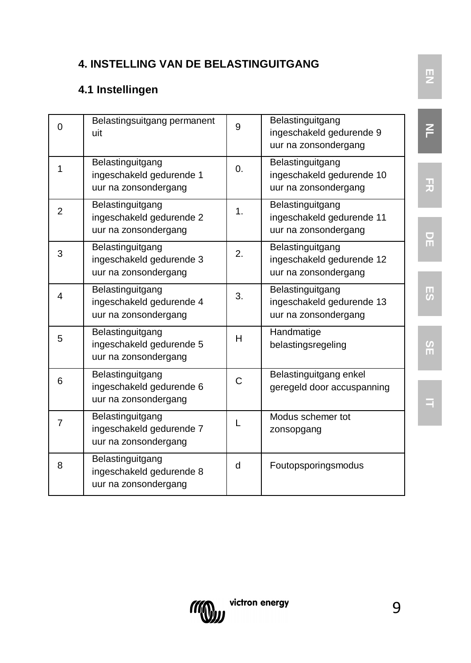### **4. INSTELLING VAN DE BELASTINGUITGANG**

### **4.1 Instellingen**

| $\Omega$       | Belastingsuitgang permanent<br>uit                                   | 9          | Belastinguitgang<br>ingeschakeld gedurende 9<br>uur na zonsondergang  |
|----------------|----------------------------------------------------------------------|------------|-----------------------------------------------------------------------|
| 1              | Belastinguitgang<br>ingeschakeld gedurende 1<br>uur na zonsondergang | $\Omega$ . | Belastinguitgang<br>ingeschakeld gedurende 10<br>uur na zonsondergang |
| $\overline{2}$ | Belastinguitgang<br>ingeschakeld gedurende 2<br>uur na zonsondergang | 1.         | Belastinguitgang<br>ingeschakeld gedurende 11<br>uur na zonsondergang |
| 3              | Belastinguitgang<br>ingeschakeld gedurende 3<br>uur na zonsondergang | 2.         | Belastinguitgang<br>ingeschakeld gedurende 12<br>uur na zonsondergang |
| 4              | Belastinguitgang<br>ingeschakeld gedurende 4<br>uur na zonsondergang | 3.         | Belastinguitgang<br>ingeschakeld gedurende 13<br>uur na zonsondergang |
| 5              | Belastinguitgang<br>ingeschakeld gedurende 5<br>uur na zonsondergang | H          | Handmatige<br>belastingsregeling                                      |
| 6              | Belastinguitgang<br>ingeschakeld gedurende 6<br>uur na zonsondergang | C          | Belastinguitgang enkel<br>geregeld door accuspanning                  |
| 7              | Belastinguitgang<br>ingeschakeld gedurende 7<br>uur na zonsondergang | L          | Modus schemer tot<br>zonsopgang                                       |
| 8              | Belastinguitgang<br>ingeschakeld gedurende 8<br>uur na zonsondergang | d          | Foutopsporingsmodus                                                   |



**FR**

**IT**



9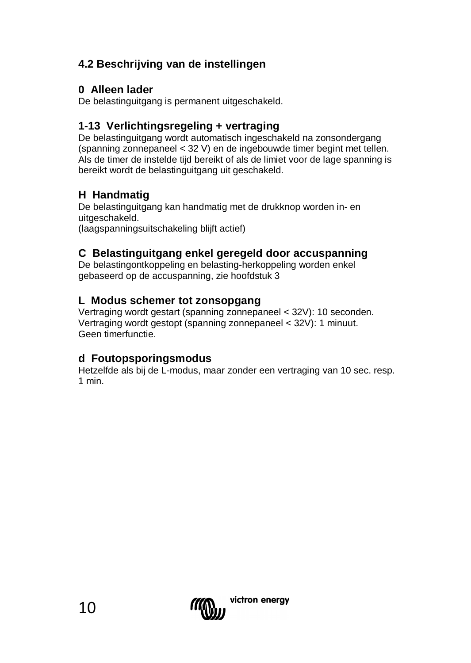### **4.2 Beschrijving van de instellingen**

#### **0 Alleen lader**

De belastinguitgang is permanent uitgeschakeld.

#### **1-13 Verlichtingsregeling + vertraging**

De belastinguitgang wordt automatisch ingeschakeld na zonsondergang (spanning zonnepaneel < 32 V) en de ingebouwde timer begint met tellen. Als de timer de instelde tijd bereikt of als de limiet voor de lage spanning is bereikt wordt de belastinguitgang uit geschakeld.

#### **H Handmatig**

De belastinguitgang kan handmatig met de drukknop worden in- en uitgeschakeld. (laagspanningsuitschakeling blijft actief)

#### **C Belastinguitgang enkel geregeld door accuspanning**

De belastingontkoppeling en belasting-herkoppeling worden enkel gebaseerd op de accuspanning, zie hoofdstuk 3

#### **L Modus schemer tot zonsopgang**

Vertraging wordt gestart (spanning zonnepaneel < 32V): 10 seconden. Vertraging wordt gestopt (spanning zonnepaneel < 32V): 1 minuut. Geen timerfunctie.

#### **d Foutopsporingsmodus**

Hetzelfde als bij de L-modus, maar zonder een vertraging van 10 sec. resp. 1 min.

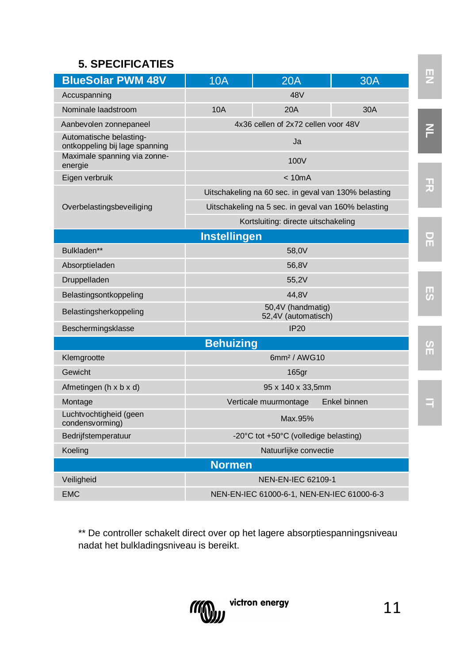### **5. SPECIFICATIES**

| <b>BlueSolar PWM 48V</b>                                  | 10A              | 20A                                      | 30A                                                  |  |  |  |  |
|-----------------------------------------------------------|------------------|------------------------------------------|------------------------------------------------------|--|--|--|--|
| Accuspanning                                              |                  | 48V                                      |                                                      |  |  |  |  |
| Nominale laadstroom                                       | 10A              | 20A                                      | 30A                                                  |  |  |  |  |
| Aanbevolen zonnepaneel                                    |                  | 4x36 cellen of 2x72 cellen voor 48V      |                                                      |  |  |  |  |
| Automatische belasting-<br>ontkoppeling bij lage spanning |                  | $\overline{a}$                           |                                                      |  |  |  |  |
| Maximale spanning via zonne-<br>energie                   |                  | 100V                                     |                                                      |  |  |  |  |
| Eigen verbruik                                            |                  | < 10mA                                   |                                                      |  |  |  |  |
|                                                           |                  |                                          | Uitschakeling na 60 sec. in geval van 130% belasting |  |  |  |  |
| Overbelastingsbeveiliging                                 |                  |                                          | Uitschakeling na 5 sec. in geval van 160% belasting  |  |  |  |  |
|                                                           |                  | Kortsluiting: directe uitschakeling      |                                                      |  |  |  |  |
|                                                           | Instellingen     |                                          |                                                      |  |  |  |  |
| Bulkladen**                                               |                  | 58.0V                                    |                                                      |  |  |  |  |
| Absorptieladen                                            |                  | 56.8V                                    |                                                      |  |  |  |  |
| Druppelladen                                              |                  | 55.2V                                    |                                                      |  |  |  |  |
| Belastingsontkoppeling                                    | 44.8V            |                                          |                                                      |  |  |  |  |
| Belastingsherkoppeling                                    |                  | 50.4V (handmatig)<br>52,4V (automatisch) |                                                      |  |  |  |  |
| Beschermingsklasse                                        |                  | IP20                                     |                                                      |  |  |  |  |
|                                                           | <b>Behuizing</b> |                                          |                                                      |  |  |  |  |
| Klemgrootte                                               |                  | 6mm <sup>2</sup> / AWG10                 |                                                      |  |  |  |  |
| Gewicht                                                   |                  | $165$ gr                                 |                                                      |  |  |  |  |
| Afmetingen (h x b x d)                                    |                  | 95 x 140 x 33,5mm                        |                                                      |  |  |  |  |
| Montage                                                   |                  | Verticale muurmontage                    | Enkel binnen                                         |  |  |  |  |
| Luchtvochtigheid (geen<br>condensvorming)                 |                  | Max.95%                                  |                                                      |  |  |  |  |
| Bedrijfstemperatuur                                       |                  | -20°C tot +50°C (volledige belasting)    |                                                      |  |  |  |  |
| Koeling                                                   |                  | Natuurlijke convectie                    |                                                      |  |  |  |  |
|                                                           | <b>Normen</b>    |                                          |                                                      |  |  |  |  |
| Veiligheid                                                |                  | NEN-EN-IEC 62109-1                       |                                                      |  |  |  |  |
| <b>EMC</b>                                                |                  |                                          | NEN-EN-IEC 61000-6-1, NEN-EN-IEC 61000-6-3           |  |  |  |  |
|                                                           |                  |                                          |                                                      |  |  |  |  |

\*\* De controller schakelt direct over op het lagere absorptiespanningsniveau nadat het bulkladingsniveau is bereikt.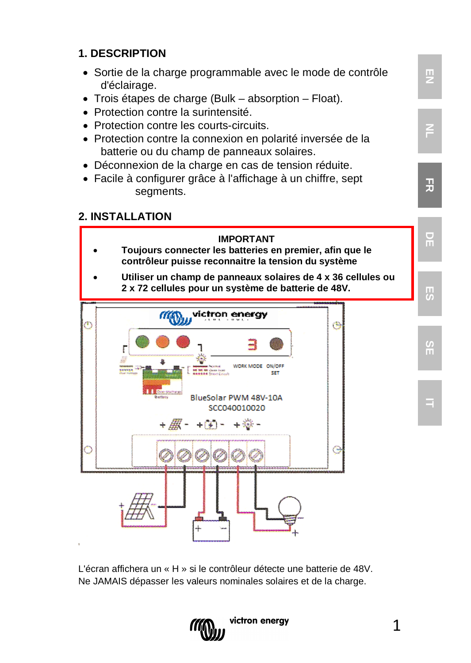### **1. DESCRIPTION**

- Sortie de la charge programmable avec le mode de contrôle d'éclairage.
- Trois étapes de charge (Bulk absorption Float).
- Protection contre la surintensité.
- Protection contre les courts-circuits.
- Protection contre la connexion en polarité inversée de la batterie ou du champ de panneaux solaires.
- Déconnexion de la charge en cas de tension réduite.
- Facile à configurer grâce à l'affichage à un chiffre, sept segments.

#### **2. INSTALLATION**



L'écran affichera un « H » si le contrôleur détecte une batterie de 48V. Ne JAMAIS dépasser les valeurs nominales solaires et de la charge.



1

**NL**

**FR**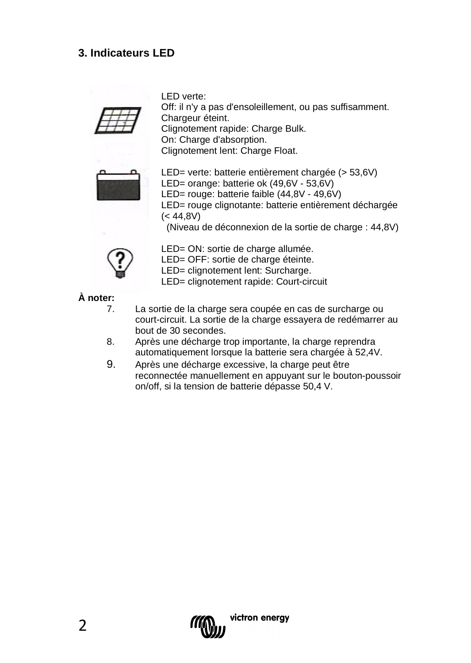### **3. Indicateurs LED**

LED verte:

Off: il n'y a pas d'ensoleillement, ou pas suffisamment. Chargeur éteint. Clignotement rapide: Charge Bulk. On: Charge d'absorption. Clignotement lent: Charge Float.



LED= verte: batterie entièrement chargée (> 53,6V) LED= orange: batterie ok (49,6V - 53,6V) LED= rouge: batterie faible (44,8V - 49,6V) LED= rouge clignotante: batterie entièrement déchargée  $(< 44.8V)$ (Niveau de déconnexion de la sortie de charge : 44,8V)



LED= ON: sortie de charge allumée.

LED= OFF: sortie de charge éteinte.

LED= clignotement lent: Surcharge.

LED= clignotement rapide: Court-circuit

**À noter:**

- La sortie de la charge sera coupée en cas de surcharge ou court-circuit. La sortie de la charge essayera de redémarrer au bout de 30 secondes.
- 8. Après une décharge trop importante, la charge reprendra automatiquement lorsque la batterie sera chargée à 52,4V.
- 9. Après une décharge excessive, la charge peut être reconnectée manuellement en appuyant sur le bouton-poussoir on/off, si la tension de batterie dépasse 50,4 V.

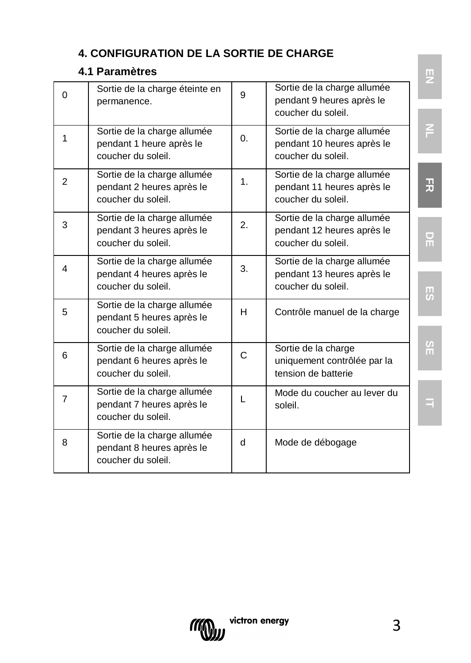### **4. CONFIGURATION DE LA SORTIE DE CHARGE**

### **4.1 Paramètres**

| $\Omega$       | Sortie de la charge éteinte en<br>permanence.                                  | 9  | Sortie de la charge allumée<br>pendant 9 heures après le<br>coucher du soleil   |   |
|----------------|--------------------------------------------------------------------------------|----|---------------------------------------------------------------------------------|---|
| 1              | Sortie de la charge allumée<br>pendant 1 heure après le<br>coucher du soleil   | 0. | Sortie de la charge allumée<br>pendant 10 heures après le<br>coucher du soleil. | F |
| 2              | Sortie de la charge allumée<br>pendant 2 heures après le<br>coucher du soleil. | 1. | Sortie de la charge allumée<br>pendant 11 heures après le<br>coucher du soleil. | 곶 |
| 3              | Sortie de la charge allumée<br>pendant 3 heures après le<br>coucher du soleil. | 2. | Sortie de la charge allumée<br>pendant 12 heures après le<br>coucher du soleil. | F |
| 4              | Sortie de la charge allumée<br>pendant 4 heures après le<br>coucher du soleil. | 3. | Sortie de la charge allumée<br>pendant 13 heures après le<br>coucher du soleil. | W |
| 5              | Sortie de la charge allumée<br>pendant 5 heures après le<br>coucher du soleil. | H  | Contrôle manuel de la charge                                                    |   |
| 6              | Sortie de la charge allumée<br>pendant 6 heures après le<br>coucher du soleil. | C. | Sortie de la charge<br>uniquement contrôlée par la<br>tension de batterie       | H |
| $\overline{7}$ | Sortie de la charge allumée<br>pendant 7 heures après le<br>coucher du soleil. | L  | Mode du coucher au lever du<br>soleil.                                          |   |
| 8              | Sortie de la charge allumée<br>pendant 8 heures après le<br>coucher du soleil. | q  | Mode de débogage                                                                |   |

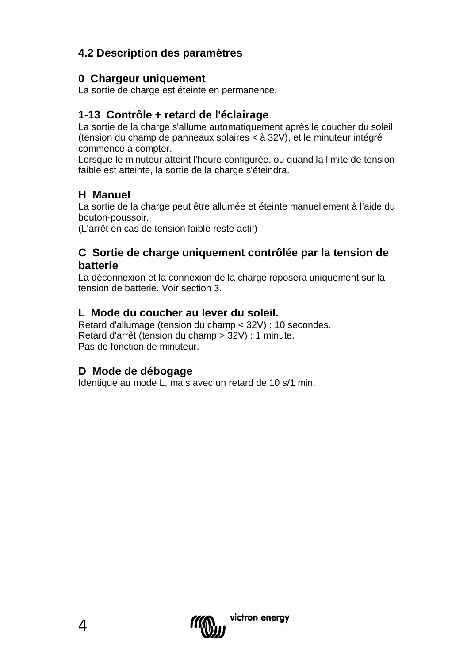### **4.2 Description des paramètres**

#### **0 Chargeur uniquement**

La sortie de charge est éteinte en permanence.

#### **1-13 Contrôle + retard de l'éclairage**

La sortie de la charge s'allume automatiquement après le coucher du soleil (tension du champ de panneaux solaires < à 32V), et le minuteur intégré commence à compter.

Lorsque le minuteur atteint l'heure configurée, ou quand la limite de tension faible est atteinte, la sortie de la charge s'éteindra.

#### **H Manuel**

La sortie de la charge peut être allumée et éteinte manuellement à l'aide du bouton-poussoir.

(L'arrêt en cas de tension faible reste actif)

#### **C Sortie de charge uniquement contrôlée par la tension de batterie**

La déconnexion et la connexion de la charge reposera uniquement sur la tension de batterie. Voir section 3.

#### **L Mode du coucher au lever du soleil.**

Retard d'allumage (tension du champ < 32V) : 10 secondes. Retard d'arrêt (tension du champ > 32V) : 1 minute. Pas de fonction de minuteur.

#### **D Mode de débogage**

Identique au mode L, mais avec un retard de 10 s/1 min.

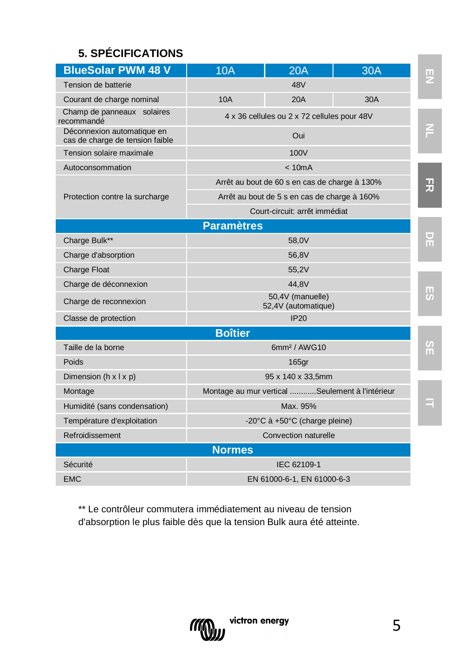## **5. SPÉCIFICATIONS**

| <b>BlueSolar PWM 48 V</b>                                     | 10A                                         | 20A                                             | 30A |  |  |  |
|---------------------------------------------------------------|---------------------------------------------|-------------------------------------------------|-----|--|--|--|
| Tension de batterie                                           |                                             | 48V                                             |     |  |  |  |
| Courant de charge nominal                                     | 10A                                         | 20A                                             | 30A |  |  |  |
| Champ de panneaux solaires<br>recommandé                      | 4 x 36 cellules ou 2 x 72 cellules pour 48V |                                                 |     |  |  |  |
| Déconnexion automatique en<br>cas de charge de tension faible |                                             | Oui                                             |     |  |  |  |
| Tension solaire maximale                                      | 100V                                        |                                                 |     |  |  |  |
| Autoconsommation                                              |                                             | < 10mA                                          |     |  |  |  |
|                                                               |                                             | Arrêt au bout de 60 s en cas de charge à 130%   |     |  |  |  |
| Protection contre la surcharge                                |                                             | Arrêt au bout de 5 s en cas de charge à 160%    |     |  |  |  |
|                                                               |                                             | Court-circuit: arrêt immédiat                   |     |  |  |  |
|                                                               | <b>Paramètres</b>                           |                                                 |     |  |  |  |
| Charge Bulk**                                                 |                                             | 58.0V                                           |     |  |  |  |
| Charge d'absorption                                           |                                             | 56,8V                                           |     |  |  |  |
| <b>Charge Float</b>                                           |                                             | 55.2V                                           |     |  |  |  |
| Charge de déconnexion                                         |                                             | 44.8V                                           |     |  |  |  |
| Charge de reconnexion                                         | 50,4V (manuelle)<br>52.4V (automatique)     |                                                 |     |  |  |  |
| Classe de protection                                          |                                             | IP20                                            |     |  |  |  |
|                                                               | <b>Boîtier</b>                              |                                                 |     |  |  |  |
| Taille de la borne                                            |                                             | 6mm <sup>2</sup> / AWG10                        |     |  |  |  |
| Poids                                                         |                                             | 165 <sub>qr</sub>                               |     |  |  |  |
| Dimension ( $h \times l \times p$ )                           |                                             | 95 x 140 x 33,5mm                               |     |  |  |  |
| Montage                                                       |                                             | Montage au mur vertical Seulement à l'intérieur |     |  |  |  |
| Humidité (sans condensation)                                  |                                             | Max. 95%                                        |     |  |  |  |
| Température d'exploitation                                    |                                             | -20°C à +50°C (charge pleine)                   |     |  |  |  |
| Refroidissement                                               |                                             | Convection naturelle                            |     |  |  |  |
|                                                               | <b>Normes</b>                               |                                                 |     |  |  |  |
| Sécurité                                                      |                                             | IEC 62109-1                                     |     |  |  |  |
| <b>EMC</b>                                                    |                                             | EN 61000-6-1, EN 61000-6-3                      |     |  |  |  |
|                                                               |                                             |                                                 |     |  |  |  |

\*\* Le contrôleur commutera immédiatement au niveau de tension d'absorption le plus faible dès que la tension Bulk aura été atteinte.

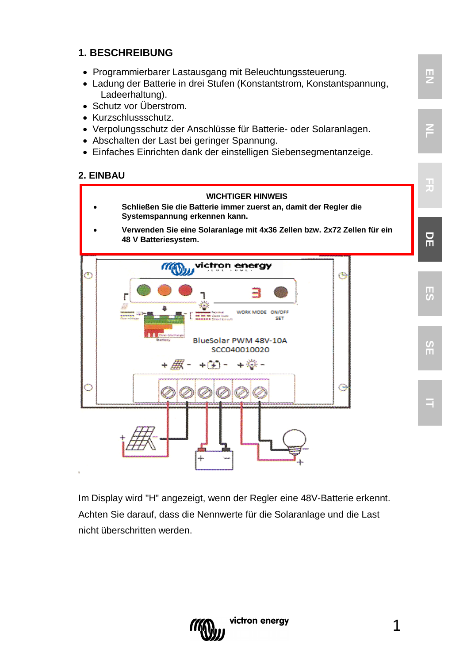#### **1. BESCHREIBUNG**

- Programmierbarer Lastausgang mit Beleuchtungssteuerung.
- Ladung der Batterie in drei Stufen (Konstantstrom, Konstantspannung, Ladeerhaltung).
- Schutz vor Überstrom.
- Kurzschlussschutz.
- Verpolungsschutz der Anschlüsse für Batterie- oder Solaranlagen.
- Abschalten der Last bei geringer Spannung.
- Einfaches Einrichten dank der einstelligen Siebensegmentanzeige.

#### **2. EINBAU**



Im Display wird "H" angezeigt, wenn der Regler eine 48V-Batterie erkennt. Achten Sie darauf, dass die Nennwerte für die Solaranlage und die Last nicht überschritten werden.



**EN**

**NL**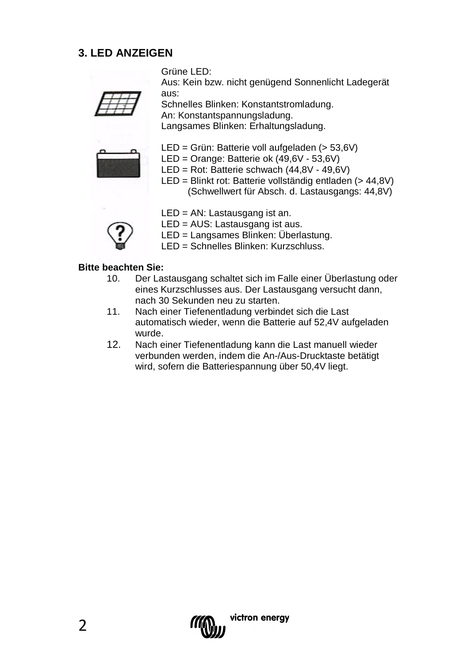#### **3. LED ANZEIGEN**

Grüne LED:

Aus: Kein bzw. nicht genügend Sonnenlicht Ladegerät aus:



Schnelles Blinken: Konstantstromladung. An: Konstantspannungsladung. Langsames Blinken: Erhaltungsladung.



- LED = Grün: Batterie voll aufgeladen (> 53,6V)
- LED = Orange: Batterie ok (49,6V 53,6V)
- LED = Rot: Batterie schwach (44,8V 49,6V)
- LED = Blinkt rot: Batterie vollständig entladen (> 44,8V) (Schwellwert für Absch. d. Lastausgangs: 44,8V)
- 
- LED = AN: Lastausgang ist an.
- LED = AUS: Lastausgang ist aus.
- LED = Langsames Blinken: Überlastung.
- LED = Schnelles Blinken: Kurzschluss.

## **Bitte beachten Sie:**

- 10. Der Lastausgang schaltet sich im Falle einer Überlastung oder eines Kurzschlusses aus. Der Lastausgang versucht dann, nach 30 Sekunden neu zu starten.
- 11. Nach einer Tiefenentladung verbindet sich die Last automatisch wieder, wenn die Batterie auf 52,4V aufgeladen wurde.
- 12. Nach einer Tiefenentladung kann die Last manuell wieder verbunden werden, indem die An-/Aus-Drucktaste betätigt wird, sofern die Batteriespannung über 50,4V liegt.

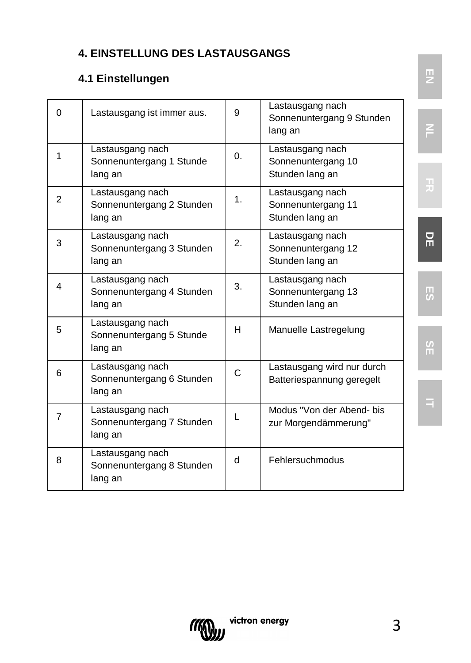## **4. EINSTELLUNG DES LASTAUSGANGS**

### **4.1 Einstellungen**

| $\Omega$ | Lastausgang ist immer aus.                               | 9          | Lastausgang nach<br>Sonnenuntergang 9 Stunden<br>lang an  | F              |
|----------|----------------------------------------------------------|------------|-----------------------------------------------------------|----------------|
| 1        | Lastausgang nach<br>Sonnenuntergang 1 Stunde<br>lang an  | $\Omega$ . | Lastausgang nach<br>Sonnenuntergang 10<br>Stunden lang an |                |
| 2        | Lastausgang nach<br>Sonnenuntergang 2 Stunden<br>lang an | 1.         | Lastausgang nach<br>Sonnenuntergang 11<br>Stunden lang an |                |
| 3        | Lastausgang nach<br>Sonnenuntergang 3 Stunden<br>lang an | 2.         | Lastausgang nach<br>Sonnenuntergang 12<br>Stunden lang an | 몪              |
| 4        | Lastausgang nach<br>Sonnenuntergang 4 Stunden<br>lang an | 3.         | Lastausgang nach<br>Sonnenuntergang 13<br>Stunden lang an | 5              |
| 5        | Lastausgang nach<br>Sonnenuntergang 5 Stunde<br>lang an  | н          | Manuelle Lastregelung                                     | $\frac{5}{11}$ |
| 6        | Lastausgang nach<br>Sonnenuntergang 6 Stunden<br>lang an | C          | Lastausgang wird nur durch<br>Batteriespannung geregelt   |                |
| 7        | Lastausgang nach<br>Sonnenuntergang 7 Stunden<br>lang an | L          | Modus "Von der Abend- bis<br>zur Morgendämmerung"         |                |
| 8        | Lastausgang nach<br>Sonnenuntergang 8 Stunden<br>lang an | d          | Fehlersuchmodus                                           |                |



**NL**

**SE**

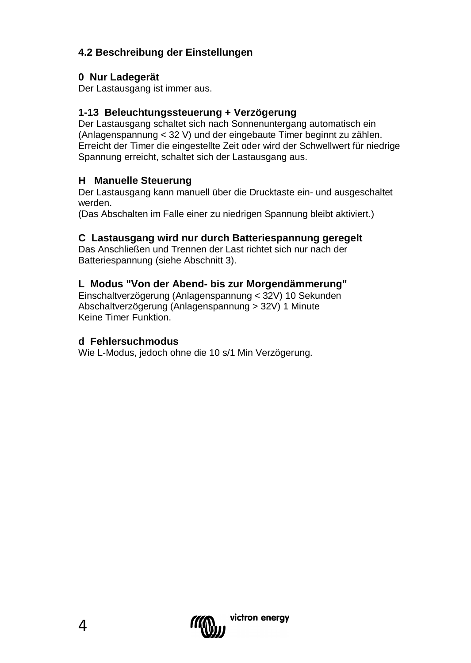#### **4.2 Beschreibung der Einstellungen**

#### **0 Nur Ladegerät**

Der Lastausgang ist immer aus.

#### **1-13 Beleuchtungssteuerung + Verzögerung**

Der Lastausgang schaltet sich nach Sonnenuntergang automatisch ein (Anlagenspannung < 32 V) und der eingebaute Timer beginnt zu zählen. Erreicht der Timer die eingestellte Zeit oder wird der Schwellwert für niedrige Spannung erreicht, schaltet sich der Lastausgang aus.

#### **H Manuelle Steuerung**

Der Lastausgang kann manuell über die Drucktaste ein- und ausgeschaltet werden.

(Das Abschalten im Falle einer zu niedrigen Spannung bleibt aktiviert.)

#### **C Lastausgang wird nur durch Batteriespannung geregelt**

Das Anschließen und Trennen der Last richtet sich nur nach der Batteriespannung (siehe Abschnitt 3).

#### **L Modus "Von der Abend- bis zur Morgendämmerung"**

Einschaltverzögerung (Anlagenspannung < 32V) 10 Sekunden Abschaltverzögerung (Anlagenspannung > 32V) 1 Minute Keine Timer Funktion.

#### **d Fehlersuchmodus**

Wie L-Modus, jedoch ohne die 10 s/1 Min Verzögerung.

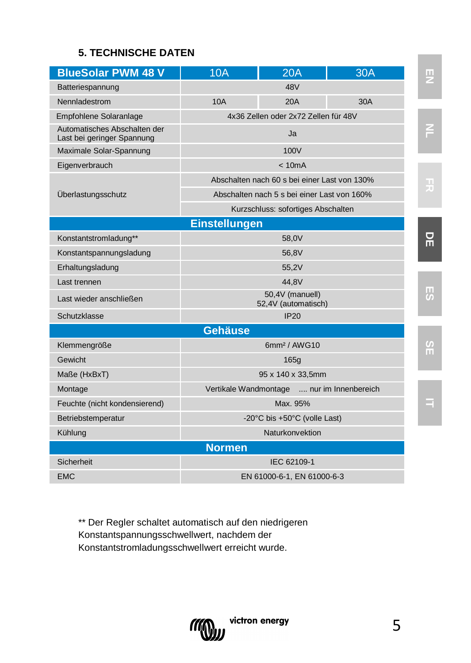#### **5. TECHNISCHE DATEN**

| <b>BlueSolar PWM 48 V</b>                                  | 10A                                    | 20A                                          | <b>30A</b> |  |
|------------------------------------------------------------|----------------------------------------|----------------------------------------------|------------|--|
| Batteriespannung                                           |                                        | 48V                                          |            |  |
| Nennladestrom                                              | 10A                                    | 20A                                          | 30A        |  |
| Empfohlene Solaranlage                                     |                                        | 4x36 Zellen oder 2x72 Zellen für 48V         |            |  |
| Automatisches Abschalten der<br>Last bei geringer Spannung |                                        | Ja                                           |            |  |
| Maximale Solar-Spannung                                    |                                        | 100V                                         |            |  |
| Eigenverbrauch                                             |                                        | < 10mA                                       |            |  |
|                                                            |                                        | Abschalten nach 60 s bei einer Last von 130% |            |  |
| Überlastungsschutz                                         |                                        | Abschalten nach 5 s bei einer Last von 160%  |            |  |
|                                                            |                                        | Kurzschluss: sofortiges Abschalten           |            |  |
| <b>Einstellungen</b>                                       |                                        |                                              |            |  |
| Konstantstromladung**                                      |                                        | 58.0V                                        |            |  |
| Konstantspannungsladung                                    |                                        | 56.8V                                        |            |  |
| Erhaltungsladung                                           | 55.2V                                  |                                              |            |  |
| Last trennen                                               | 44.8V                                  |                                              |            |  |
| Last wieder anschließen                                    | 50,4V (manuell)<br>52,4V (automatisch) |                                              |            |  |
| Schutzklasse                                               |                                        | IP20                                         |            |  |
|                                                            | Gehäuse                                |                                              |            |  |
| Klemmengröße                                               |                                        | 6mm <sup>2</sup> / AWG10                     |            |  |
| Gewicht                                                    |                                        | 165 <sub>a</sub>                             |            |  |
| Maße (HxBxT)                                               |                                        | 95 x 140 x 33,5mm                            |            |  |
| Montage                                                    |                                        | Vertikale Wandmontage  nur im Innenbereich   |            |  |
| Feuchte (nicht kondensierend)                              |                                        | Max. 95%                                     |            |  |
| Betriebstemperatur                                         |                                        | -20°C bis +50°C (volle Last)                 |            |  |
| Kühlung                                                    |                                        | Naturkonvektion                              |            |  |
|                                                            | <b>Normen</b>                          |                                              |            |  |
| Sicherheit                                                 |                                        | IEC 62109-1                                  |            |  |
| <b>EMC</b>                                                 |                                        | EN 61000-6-1, EN 61000-6-3                   |            |  |

\*\* Der Regler schaltet automatisch auf den niedrigeren Konstantspannungsschwellwert, nachdem der Konstantstromladungsschwellwert erreicht wurde.



**EN**

**NL**

**DE**

**ES**

**SE**

**IT**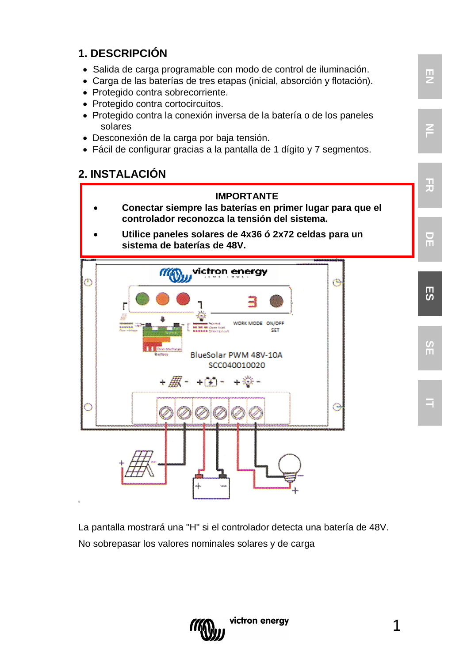### **1. DESCRIPCIÓN**

- Salida de carga programable con modo de control de iluminación.
- Carga de las baterías de tres etapas (inicial, absorción y flotación).
- Protegido contra sobrecorriente.
- Protegido contra cortocircuitos.
- Protegido contra la conexión inversa de la batería o de los paneles solares
- Desconexión de la carga por baja tensión.
- Fácil de configurar gracias a la pantalla de 1 dígito y 7 segmentos.

#### **2. INSTALACIÓN**



La pantalla mostrará una "H" si el controlador detecta una batería de 48V. No sobrepasar los valores nominales solares y de carga



1

**EN**

F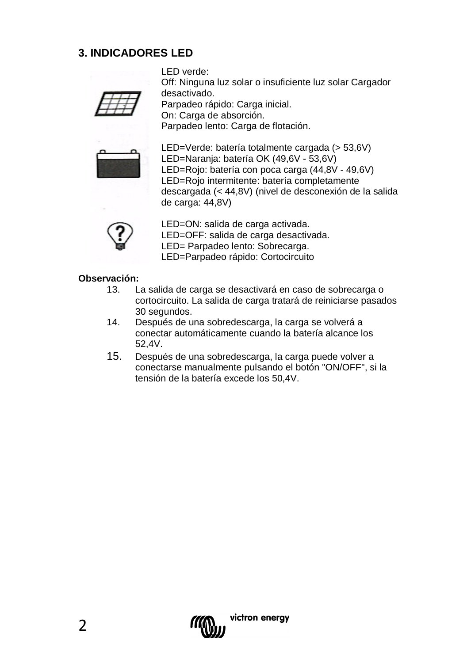### **3. INDICADORES LED**

LED verde: Off: Ninguna luz solar o insuficiente luz solar Cargador

desactivado. Parpadeo rápido: Carga inicial. On: Carga de absorción. Parpadeo lento: Carga de flotación.



LED=Verde: batería totalmente cargada (> 53,6V) LED=Naranja: batería OK (49,6V - 53,6V) LED=Rojo: batería con poca carga (44,8V - 49,6V) LED=Rojo intermitente: batería completamente descargada (< 44,8V) (nivel de desconexión de la salida de carga: 44,8V)



LED=ON: salida de carga activada. LED=OFF: salida de carga desactivada. LED= Parpadeo lento: Sobrecarga. LED=Parpadeo rápido: Cortocircuito

## **Observación:**

- La salida de carga se desactivará en caso de sobrecarga o cortocircuito. La salida de carga tratará de reiniciarse pasados 30 segundos.
- 14. Después de una sobredescarga, la carga se volverá a conectar automáticamente cuando la batería alcance los 52,4V.
- 15. Después de una sobredescarga, la carga puede volver a conectarse manualmente pulsando el botón "ON/OFF", si la tensión de la batería excede los 50,4V.

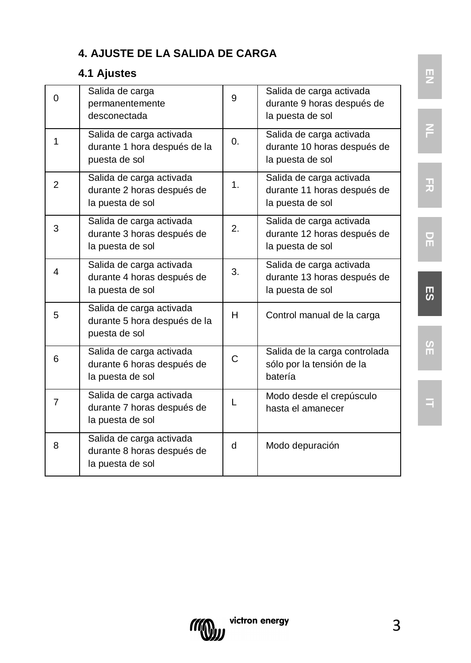## **4. AJUSTE DE LA SALIDA DE CARGA**

### **4.1 Ajustes**

| $\Omega$       | Salida de carga<br>permanentemente<br>desconectada                         | 9            | Salida de carga activada<br>durante 9 horas después de<br>la puesta de sol  |
|----------------|----------------------------------------------------------------------------|--------------|-----------------------------------------------------------------------------|
| 1              | Salida de carga activada<br>durante 1 hora después de la<br>puesta de sol  | 0.           | Salida de carga activada<br>durante 10 horas después de<br>la puesta de sol |
| $\overline{2}$ | Salida de carga activada<br>durante 2 horas después de<br>la puesta de sol | 1.           | Salida de carga activada<br>durante 11 horas después de<br>la puesta de sol |
| 3              | Salida de carga activada<br>durante 3 horas después de<br>la puesta de sol | $\mathbf{2}$ | Salida de carga activada<br>durante 12 horas después de<br>la puesta de sol |
| 4              | Salida de carga activada<br>durante 4 horas después de<br>la puesta de sol | 3.           | Salida de carga activada<br>durante 13 horas después de<br>la puesta de sol |
| 5              | Salida de carga activada<br>durante 5 hora después de la<br>puesta de sol  | н            | Control manual de la carga                                                  |
| 6              | Salida de carga activada<br>durante 6 horas después de<br>la puesta de sol | C.           | Salida de la carga controlada<br>sólo por la tensión de la<br>batería       |
| $\overline{7}$ | Salida de carga activada<br>durante 7 horas después de<br>la puesta de sol | L            | Modo desde el crepúsculo<br>hasta el amanecer                               |
| 8              | Salida de carga activada<br>durante 8 horas después de<br>la puesta de sol | q            | Modo depuración                                                             |

**NL**

**FR**

**DE**

**ES**

**SE**

**IT**

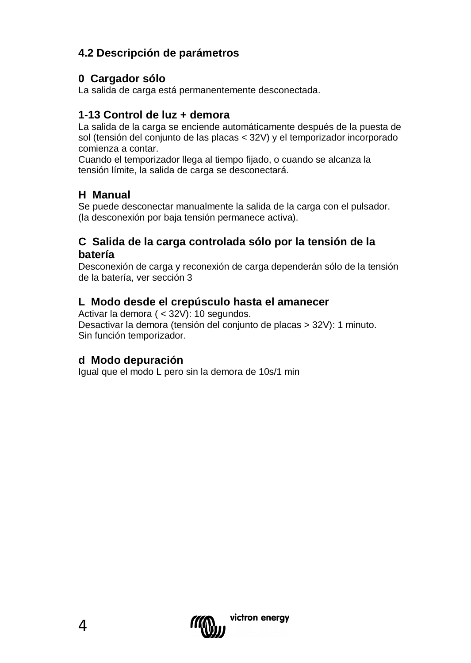### **4.2 Descripción de parámetros**

#### **0 Cargador sólo**

La salida de carga está permanentemente desconectada.

#### **1-13 Control de luz + demora**

La salida de la carga se enciende automáticamente después de la puesta de sol (tensión del conjunto de las placas < 32V) y el temporizador incorporado comienza a contar.

Cuando el temporizador llega al tiempo fijado, o cuando se alcanza la tensión límite, la salida de carga se desconectará.

#### **H Manual**

Se puede desconectar manualmente la salida de la carga con el pulsador. (la desconexión por baja tensión permanece activa).

#### **C Salida de la carga controlada sólo por la tensión de la batería**

Desconexión de carga y reconexión de carga dependerán sólo de la tensión de la batería, ver sección 3

#### **L Modo desde el crepúsculo hasta el amanecer**

Activar la demora ( < 32V): 10 segundos. Desactivar la demora (tensión del conjunto de placas > 32V): 1 minuto. Sin función temporizador.

#### **d Modo depuración**

Igual que el modo L pero sin la demora de 10s/1 min

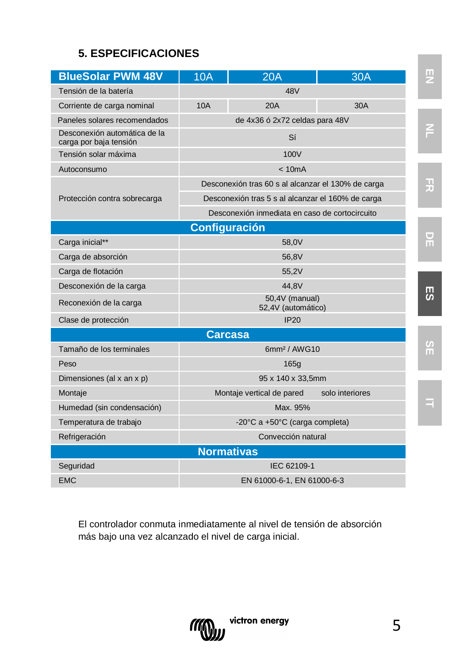### **5. ESPECIFICACIONES**

| <b>BlueSolar PWM 48V</b>                               | 10A                                  | 20A                                                | 30A             | ш              |  |  |  |
|--------------------------------------------------------|--------------------------------------|----------------------------------------------------|-----------------|----------------|--|--|--|
| Tensión de la batería                                  |                                      | 48V                                                |                 |                |  |  |  |
| Corriente de carga nominal                             | 10A                                  | 20A                                                | 30A             |                |  |  |  |
| Paneles solares recomendados                           |                                      | de 4x36 ó 2x72 celdas para 48V                     |                 |                |  |  |  |
| Desconexión automática de la<br>carga por baja tensión |                                      | Sí                                                 |                 |                |  |  |  |
| Tensión solar máxima                                   |                                      | 100V                                               |                 |                |  |  |  |
| Autoconsumo                                            |                                      | < 10mA                                             |                 |                |  |  |  |
|                                                        |                                      | Desconexión tras 60 s al alcanzar el 130% de carga |                 | H              |  |  |  |
| Protección contra sobrecarga                           |                                      | Desconexión tras 5 s al alcanzar el 160% de carga  |                 |                |  |  |  |
|                                                        |                                      | Desconexión inmediata en caso de cortocircuito     |                 |                |  |  |  |
|                                                        | Configuración                        |                                                    |                 |                |  |  |  |
| Carga inicial**                                        |                                      | 58.0V                                              |                 | U<br>ш         |  |  |  |
| Carga de absorción                                     |                                      | 56.8V                                              |                 |                |  |  |  |
| Carga de flotación                                     |                                      | 55.2V                                              |                 |                |  |  |  |
| Desconexión de la carga                                | 44.8V                                |                                                    |                 |                |  |  |  |
| Reconexión de la carga                                 | 50,4V (manual)<br>52,4V (automático) |                                                    |                 |                |  |  |  |
| Clase de protección                                    |                                      | <b>IP20</b>                                        |                 |                |  |  |  |
|                                                        | <b>Carcasa</b>                       |                                                    |                 |                |  |  |  |
| Tamaño de los terminales                               |                                      | 6mm <sup>2</sup> / AWG10                           |                 | $\frac{5}{11}$ |  |  |  |
| Peso                                                   |                                      | 165 <sub>a</sub>                                   |                 |                |  |  |  |
| Dimensiones (al x an x p)                              |                                      | 95 x 140 x 33,5mm                                  |                 |                |  |  |  |
| Montaje                                                |                                      | Montaje vertical de pared                          | solo interiores |                |  |  |  |
| Humedad (sin condensación)                             |                                      | Max. 95%                                           |                 |                |  |  |  |
| Temperatura de trabajo                                 | -20°C a +50°C (carga completa)       |                                                    |                 |                |  |  |  |
| Refrigeración                                          |                                      | Convección natural                                 |                 |                |  |  |  |
|                                                        | <b>Normativas</b>                    |                                                    |                 |                |  |  |  |
| Seguridad                                              |                                      | IEC 62109-1                                        |                 |                |  |  |  |
| <b>EMC</b>                                             | EN 61000-6-1, EN 61000-6-3           |                                                    |                 |                |  |  |  |

El controlador conmuta inmediatamente al nivel de tensión de absorción más bajo una vez alcanzado el nivel de carga inicial.

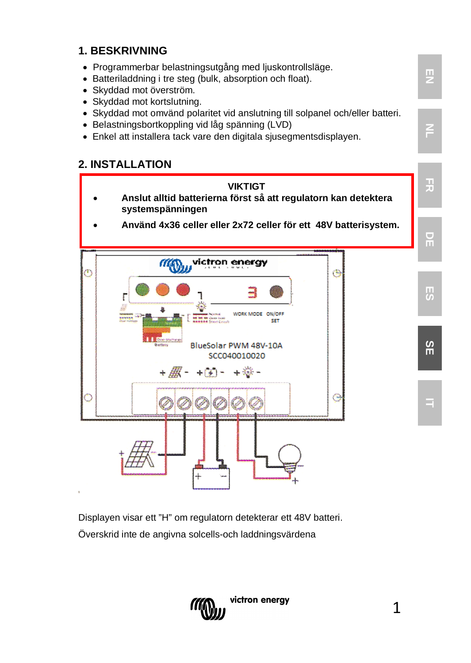### **1. BESKRIVNING**

- Programmerbar belastningsutgång med ljuskontrollsläge.
- Batteriladdning i tre steg (bulk, absorption och float).
- Skyddad mot överström.
- Skyddad mot kortslutning.
- Skyddad mot omvänd polaritet vid anslutning till solpanel och/eller batteri.
- Belastningsbortkoppling vid låg spänning (LVD)
- Enkel att installera tack vare den digitala sjusegmentsdisplayen.

#### **2. INSTALLATION**



Displayen visar ett "H" om regulatorn detekterar ett 48V batteri. Överskrid inte de angivna solcells-och laddningsvärdena



**EN**

**NL**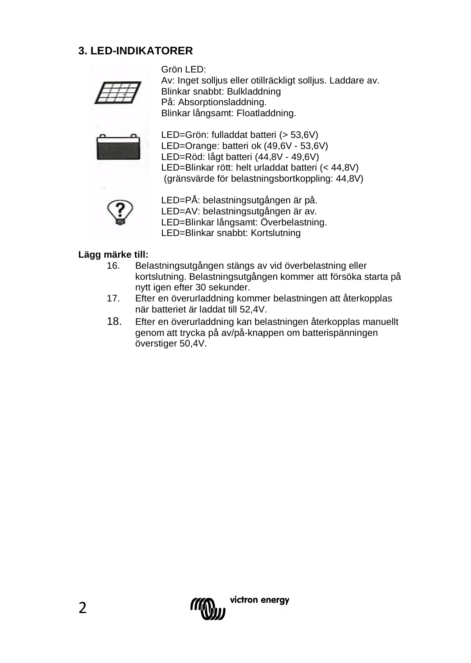#### **3. LED-INDIKATORER**



Grön LED: Av: Inget sollius eller otillräckligt sollius. Laddare av. Blinkar snabbt: Bulkladdning På: Absorptionsladdning. Blinkar långsamt: Floatladdning.



LED=Grön: fulladdat batteri (> 53,6V) LED=Orange: batteri ok (49,6V - 53,6V) LED=Röd: lågt batteri (44,8V - 49,6V) LED=Blinkar rött: helt urladdat batteri (< 44,8V) (gränsvärde för belastningsbortkoppling: 44,8V)



LED=PÅ: belastningsutgången är på. LED=AV: belastningsutgången är av.

LED=Blinkar långsamt: Överbelastning.

LED=Blinkar snabbt: Kortslutning

## **Lägg märke till:**

- 16. Belastningsutgången stängs av vid överbelastning eller kortslutning. Belastningsutgången kommer att försöka starta på nytt igen efter 30 sekunder.
- 17. Efter en överurladdning kommer belastningen att återkopplas när batteriet är laddat till 52,4V.
- 18. Efter en överurladdning kan belastningen återkopplas manuellt genom att trycka på av/på-knappen om batterispänningen överstiger 50,4V.

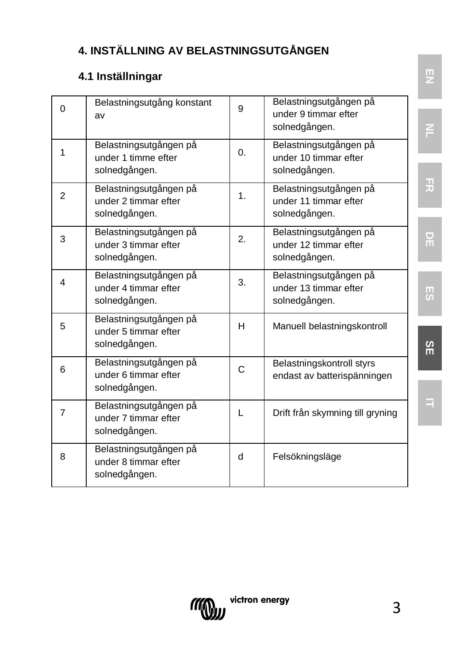## **4. INSTÄLLNING AV BELASTNINGSUTGÅNGEN**

### **4.1 Inställningar**

| $\Omega$       | Belastningsutgång konstant<br>av                                | 9            | Belastningsutgången på<br>under 9 timmar efter<br>solnedgången.  |    |
|----------------|-----------------------------------------------------------------|--------------|------------------------------------------------------------------|----|
| 1              | Belastningsutgången på<br>under 1 timme efter<br>solnedgången.  | 0.           | Belastningsutgången på<br>under 10 timmar efter<br>solnedgången. |    |
| 2              | Belastningsutgången på<br>under 2 timmar efter<br>solnedgången. | 1.           | Belastningsutgången på<br>under 11 timmar efter<br>solnedgången. | 끚  |
| 3              | Belastningsutgången på<br>under 3 timmar efter<br>solnedgången. | 2.           | Belastningsutgången på<br>under 12 timmar efter<br>solnedgången. | 뮤  |
| 4              | Belastningsutgången på<br>under 4 timmar efter<br>solnedgången. | 3.           | Belastningsutgången på<br>under 13 timmar efter<br>solnedgången. | IJ |
| 5              | Belastningsutgången på<br>under 5 timmar efter<br>solnedgången. | $\mathsf{H}$ | Manuell belastningskontroll                                      | SΕ |
| 6              | Belastningsutgången på<br>under 6 timmar efter<br>solnedgången. | C            | Belastningskontroll styrs<br>endast av batterispänningen         |    |
| $\overline{7}$ | Belastningsutgången på<br>under 7 timmar efter<br>solnedgången. | L            | Drift från skymning till gryning                                 |    |
| 8              | Belastningsutgången på<br>under 8 timmar efter<br>solnedgången. | d            | Felsökningsläge                                                  |    |

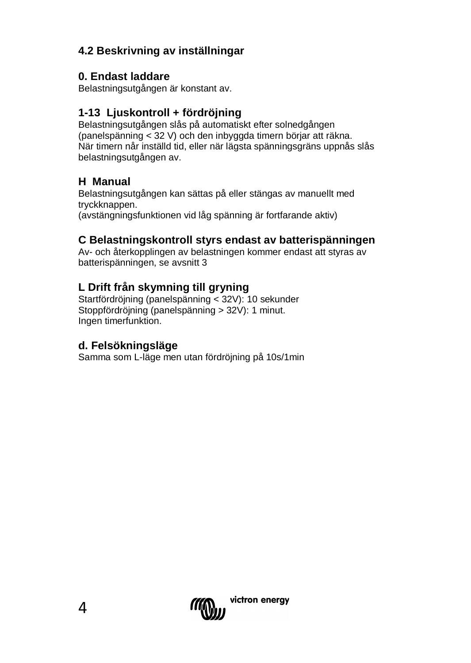### **4.2 Beskrivning av inställningar**

### **0. Endast laddare**

Belastningsutgången är konstant av.

### **1-13 Ljuskontroll + fördröjning**

Belastningsutgången slås på automatiskt efter solnedgången (panelspänning < 32 V) och den inbyggda timern börjar att räkna. När timern når inställd tid, eller när lägsta spänningsgräns uppnås slås belastningsutgången av.

### **H Manual**

Belastningsutgången kan sättas på eller stängas av manuellt med tryckknappen. (avstängningsfunktionen vid låg spänning är fortfarande aktiv)

### **C Belastningskontroll styrs endast av batterispänningen**

Av- och återkopplingen av belastningen kommer endast att styras av batterispänningen, se avsnitt 3

### **L Drift från skymning till gryning**

Startfördröjning (panelspänning < 32V): 10 sekunder Stoppfördröjning (panelspänning > 32V): 1 minut. Ingen timerfunktion.

#### **d. Felsökningsläge**

Samma som L-läge men utan fördröjning på 10s/1min

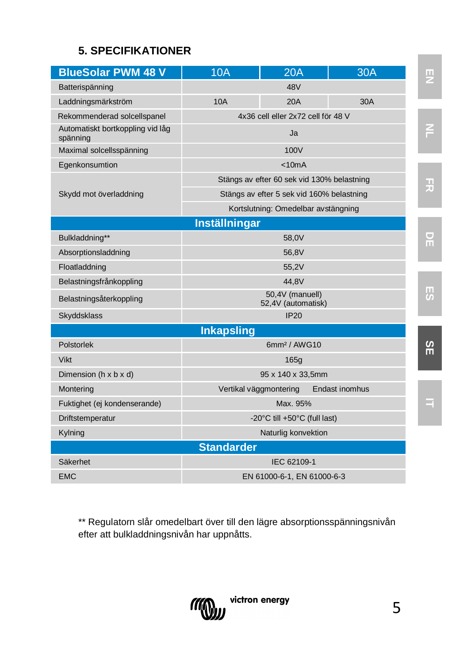### **5. SPECIFIKATIONER**

| <b>BlueSolar PWM 48 V</b>                    | 10A                                   | 20A                                        | 30A            | ш  |  |  |  |
|----------------------------------------------|---------------------------------------|--------------------------------------------|----------------|----|--|--|--|
| Batterispänning                              |                                       | 48V                                        |                |    |  |  |  |
| Laddningsmärkström                           | 10A                                   | 20A                                        | 30A            |    |  |  |  |
| Rekommenderad solcellspanel                  |                                       | 4x36 cell eller 2x72 cell för 48 V         |                |    |  |  |  |
| Automatiskt bortkoppling vid låg<br>spänning |                                       | Ja                                         |                |    |  |  |  |
| Maximal solcellsspänning                     |                                       | 100V                                       |                |    |  |  |  |
| Egenkonsumtion                               |                                       | < 10mA                                     |                |    |  |  |  |
|                                              |                                       | Stängs av efter 60 sek vid 130% belastning |                | 곶  |  |  |  |
| Skydd mot överladdning                       |                                       | Stängs av efter 5 sek vid 160% belastning  |                |    |  |  |  |
|                                              |                                       | Kortslutning: Omedelbar avstängning        |                |    |  |  |  |
|                                              | <b>Inställningar</b>                  |                                            |                |    |  |  |  |
| Bulkladdning**                               |                                       | 58.0V                                      |                |    |  |  |  |
| Absorptionsladdning                          |                                       | 56.8V                                      |                |    |  |  |  |
| Floatladdning                                |                                       | 55.2V                                      |                |    |  |  |  |
| Belastningsfrånkoppling                      |                                       | 44.8V                                      |                |    |  |  |  |
| Belastningsåterkoppling                      | 50,4V (manuell)<br>52,4V (automatisk) |                                            |                |    |  |  |  |
| Skyddsklass                                  |                                       | IP20                                       |                |    |  |  |  |
|                                              | <b>Inkapsling</b>                     |                                            |                |    |  |  |  |
| Polstorlek                                   |                                       | 6mm <sup>2</sup> / AWG10                   |                | SE |  |  |  |
| <b>Vikt</b>                                  |                                       | 165q                                       |                |    |  |  |  |
| Dimension (h x b x d)                        |                                       | 95 x 140 x 33.5mm                          |                |    |  |  |  |
| Montering                                    | Vertikal väggmontering                |                                            | Endast inomhus |    |  |  |  |
| Fuktighet (ej kondenserande)                 | Max. 95%                              |                                            |                |    |  |  |  |
| Driftstemperatur                             | -20°C till +50°C (full last)          |                                            |                |    |  |  |  |
| Kylning                                      |                                       | Naturlig konvektion                        |                |    |  |  |  |
|                                              | <b>Standarder</b>                     |                                            |                |    |  |  |  |
| Säkerhet                                     |                                       | IEC 62109-1                                |                |    |  |  |  |
| <b>EMC</b>                                   |                                       | EN 61000-6-1, EN 61000-6-3                 |                |    |  |  |  |

\*\* Regulatorn slår omedelbart över till den lägre absorptionsspänningsnivån efter att bulkladdningsnivån har uppnåtts.

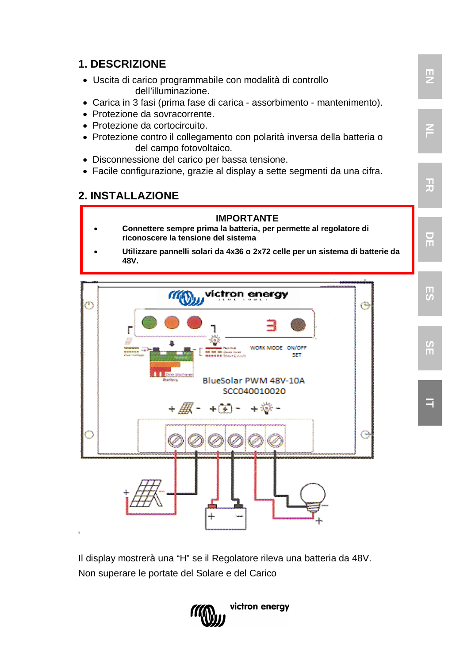

Il display mostrerà una "H" se il Regolatore rileva una batteria da 48V. Non superare le portate del Solare e del Carico

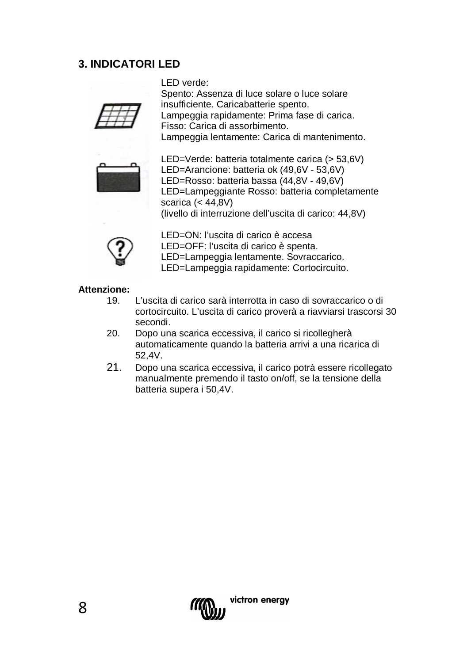### **3. INDICATORI LED**

LED verde:

Spento: Assenza di luce solare o luce solare insufficiente. Caricabatterie spento. Lampeggia rapidamente: Prima fase di carica. Fisso: Carica di assorbimento. Lampeggia lentamente: Carica di mantenimento.



LED=Verde: batteria totalmente carica (> 53,6V) LED=Arancione: batteria ok (49,6V - 53,6V) LED=Rosso: batteria bassa (44,8V - 49,6V) LED=Lampeggiante Rosso: batteria completamente scarica (< 44,8V) (livello di interruzione dell'uscita di carico: 44,8V)



LED=ON: l'uscita di carico è accesa

LED=OFF: l'uscita di carico è spenta.

LED=Lampeggia lentamente. Sovraccarico.

LED=Lampeggia rapidamente: Cortocircuito.

#### **Attenzione:**

- 19. L'uscita di carico sarà interrotta in caso di sovraccarico o di cortocircuito. L'uscita di carico proverà a riavviarsi trascorsi 30 secondi.
- 20. Dopo una scarica eccessiva, il carico si ricollegherà automaticamente quando la batteria arrivi a una ricarica di 52,4V.
- 21. Dopo una scarica eccessiva, il carico potrà essere ricollegato manualmente premendo il tasto on/off, se la tensione della batteria supera i 50,4V.

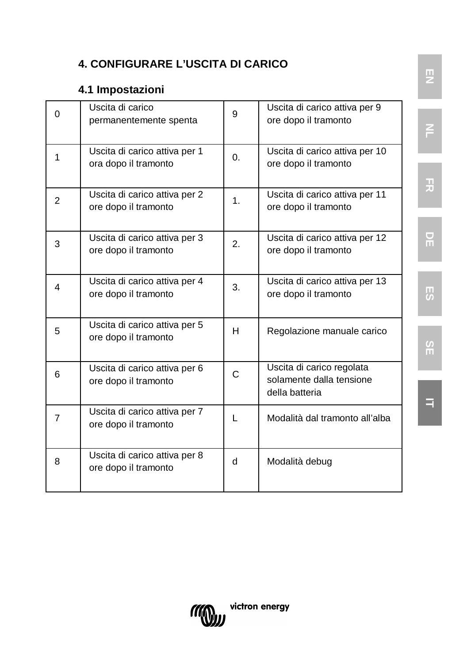### **4. CONFIGURARE L'USCITA DI CARICO**

### **4.1 Impostazioni**

| $\Omega$       | Uscita di carico<br>permanentemente spenta            | 9        | Uscita di carico attiva per 9<br>ore dopo il tramonto                   |
|----------------|-------------------------------------------------------|----------|-------------------------------------------------------------------------|
| 1              | Uscita di carico attiva per 1<br>ora dopo il tramonto | $\Omega$ | Uscita di carico attiva per 10<br>ore dopo il tramonto                  |
| $\overline{2}$ | Uscita di carico attiva per 2<br>ore dopo il tramonto | 1        | Uscita di carico attiva per 11<br>ore dopo il tramonto                  |
| 3              | Uscita di carico attiva per 3<br>ore dopo il tramonto | 2.       | Uscita di carico attiva per 12<br>ore dopo il tramonto                  |
| 4              | Uscita di carico attiva per 4<br>ore dopo il tramonto | 3.       | Uscita di carico attiva per 13<br>ore dopo il tramonto                  |
| 5              | Uscita di carico attiva per 5<br>ore dopo il tramonto | H        | Regolazione manuale carico                                              |
| 6              | Uscita di carico attiva per 6<br>ore dopo il tramonto | C        | Uscita di carico regolata<br>solamente dalla tensione<br>della batteria |
| 7              | Uscita di carico attiva per 7<br>ore dopo il tramonto | L        | Modalità dal tramonto all'alba                                          |
| 8              | Uscita di carico attiva per 8<br>ore dopo il tramonto | d        | Modalità debug                                                          |



**FR**

**NL**

**ES**

**DE**

**SE**

**IT**

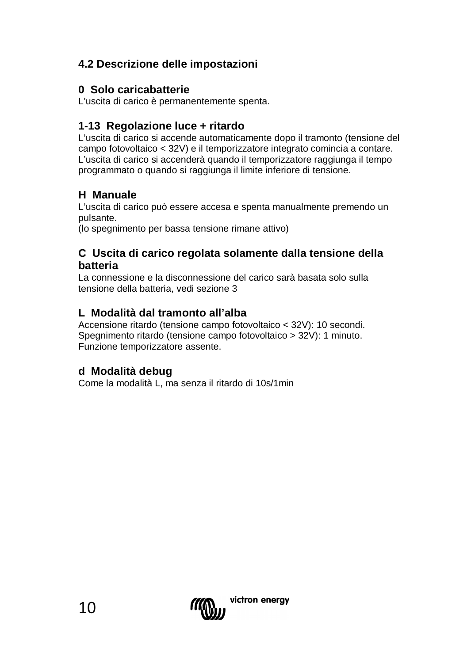### **4.2 Descrizione delle impostazioni**

#### **0 Solo caricabatterie**

L'uscita di carico è permanentemente spenta.

#### **1-13 Regolazione luce + ritardo**

L'uscita di carico si accende automaticamente dopo il tramonto (tensione del campo fotovoltaico < 32V) e il temporizzatore integrato comincia a contare. L'uscita di carico si accenderà quando il temporizzatore raggiunga il tempo programmato o quando si raggiunga il limite inferiore di tensione.

#### **H Manuale**

L'uscita di carico può essere accesa e spenta manualmente premendo un pulsante.

(lo spegnimento per bassa tensione rimane attivo)

#### **C Uscita di carico regolata solamente dalla tensione della batteria**

La connessione e la disconnessione del carico sarà basata solo sulla tensione della batteria, vedi sezione 3

#### **L Modalità dal tramonto all'alba**

Accensione ritardo (tensione campo fotovoltaico < 32V): 10 secondi. Spegnimento ritardo (tensione campo fotovoltaico > 32V): 1 minuto. Funzione temporizzatore assente.

#### **d Modalità debug**

Come la modalità L, ma senza il ritardo di 10s/1min

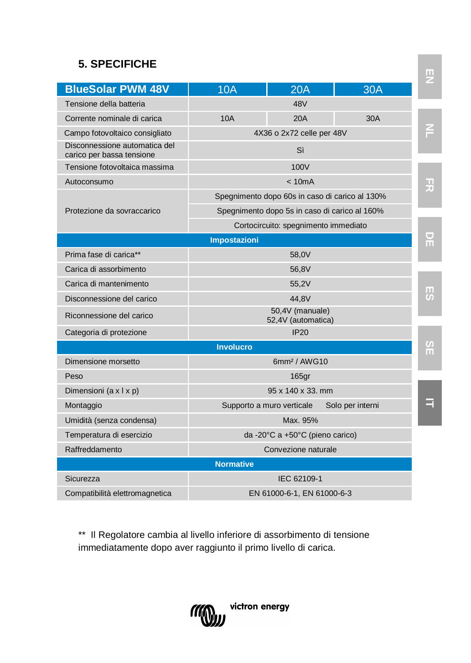### **5. SPECIFICHE**

| <b>BlueSolar PWM 48V</b>                                   | 10A                                            | <b>20A</b>                            | 30A              |                |  |
|------------------------------------------------------------|------------------------------------------------|---------------------------------------|------------------|----------------|--|
| Tensione della batteria                                    |                                                | 48V                                   |                  |                |  |
| Corrente nominale di carica                                | 10A                                            | 20A                                   | 30A              |                |  |
| Campo fotovoltaico consigliato                             | 4X36 o 2x72 celle per 48V                      |                                       |                  |                |  |
| Disconnessione automatica del<br>carico per bassa tensione | Sì                                             |                                       |                  |                |  |
| Tensione fotovoltaica massima                              |                                                | 100V                                  |                  |                |  |
| Autoconsumo                                                | < 10mA                                         |                                       |                  |                |  |
|                                                            | Spegnimento dopo 60s in caso di carico al 130% |                                       |                  | 끚              |  |
| Protezione da sovraccarico                                 | Spegnimento dopo 5s in caso di carico al 160%  |                                       |                  |                |  |
|                                                            | Cortocircuito: spegnimento immediato           |                                       |                  |                |  |
|                                                            | <b>Impostazioni</b>                            |                                       |                  | 뮤              |  |
| Prima fase di carica**                                     |                                                | 58.0V                                 |                  |                |  |
| Carica di assorbimento                                     |                                                | 56,8V                                 |                  |                |  |
| Carica di mantenimento                                     | 55,2V                                          |                                       |                  |                |  |
| Disconnessione del carico                                  |                                                | 44.8V                                 |                  | Ы              |  |
| Riconnessione del carico                                   |                                                | 50,4V (manuale)<br>52,4V (automatica) |                  |                |  |
| Categoria di protezione                                    |                                                | IP20                                  |                  |                |  |
|                                                            | <b>Involucro</b>                               |                                       |                  | $\frac{8}{11}$ |  |
| Dimensione morsetto                                        | 6mm <sup>2</sup> / AWG10                       |                                       |                  |                |  |
| Peso                                                       |                                                | 165 <sub>qr</sub>                     |                  |                |  |
| Dimensioni (a x I x p)                                     |                                                | 95 x 140 x 33. mm                     |                  |                |  |
| Montaggio                                                  |                                                | Supporto a muro verticale             | Solo per interni | Ξ              |  |
| Umidità (senza condensa)                                   |                                                | Max. 95%                              |                  |                |  |
| Temperatura di esercizio                                   |                                                | da -20°C a +50°C (pieno carico)       |                  |                |  |
| Raffreddamento                                             |                                                | Convezione naturale                   |                  |                |  |
|                                                            | <b>Normative</b>                               |                                       |                  |                |  |
| Sicurezza                                                  |                                                | IEC 62109-1                           |                  |                |  |
| Compatibilità elettromagnetica                             | EN 61000-6-1, EN 61000-6-3                     |                                       |                  |                |  |

\*\* Il Regolatore cambia al livello inferiore di assorbimento di tensione immediatamente dopo aver raggiunto il primo livello di carica.

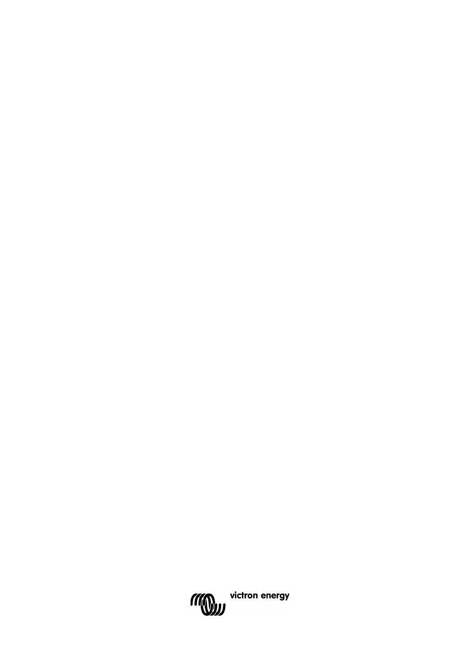